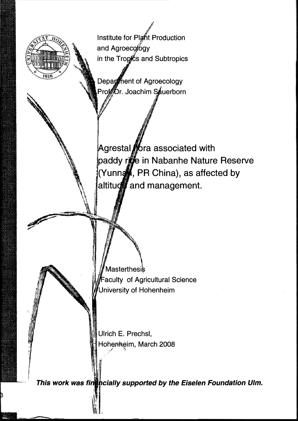Institute for Plant Production and Agroecology in the Tropics and Subtropics Department of Agroecology Prof<sup>6</sup>Dr. Joachim Souerborn Agrestal fora associated with paddy rice in Nabanhe Nature Reserve (Yunna, PR China), as affected by altitud and management. Masterthesis Faculty of Agricultural Science University of Hohenheim Ulrich E. Prechsl, Hohenheim, March 2008

This work was fint pcially supported by the Eiselen Foundation Ulm.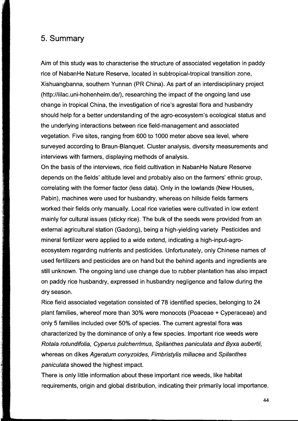## 5. Summary

Aim of this study was to characterise the structure of associated vegetation in paddy rice of NabanHe Nature Reserve, located in subtropical-tropical transition zone, Xishuangbanna, southern Yunnan (PR China). As part of an interdisciplinary project (http://lilac.uni-hohenheim.de/), researching the impact of the ongoing land use change in tropical China, the investigation of rice's agrestal flora and husbandry should help for a better understanding of the agro-ecosystem's ecological status and the underlying interactions between rice field-management and associated vegetation. Five sites, ranging from 600 to 1000 meter above sea level, where surveyed according to Braun-Blanquet. Cluster analysis, diversity measurements and interviews with farmers, displaying methods of analysis.

On the basis of the interviews, rice field cultivation in NabanHe Nature Reserve depends on the fields' altitude level and probably also on the farmers' ethnic group, correlating with the former factor (Iess data). Only in the lowlands (New Houses, Pabin), machines were used for husbandry, whereas on hillside fields farmers worked their fields only manually. Local rice varieties were cultivated in low extent mainly for cultural issues (sticky rice). The bulk of the seeds were provided from an external agricultural station (Gadong), being a high-yielding variety Pesticides and mineral fertilizer were applied to a wide extend, indicating a high-input-agro ecosystem regarding nutrients and pesticides. Unfortunately, only Chinese names of used fertilizers and pesticides are on hand but the behind agents and ingredients are still unknown. The ongoing land use change due to rubber plantation has also impact on paddy rice husbandry, expressed in husbandry negligence and fallow during the dry season.

Rice field associated vegetation consisted of 78 identified species, belonging to 24 plant families, whereof more than 30% were monocots (Poaceae + Cyperaceae) and only 5 families included over 50% of species. The current agrestal flora was characterized by the dominance of only a few species. Important rice weeds were Rotala rotundifolia, Cyperus pulcherrimus, Spilanthes paniculata and Byxa aubertii, whereas on dikes Ageratum conyzoides, Fimbristylis miliacea and Spilanthes paniculata showed the highest impact.

There is only little information about these important rice weeds, like habitat requirements, origin and global distribution, indicating their primarily local importance.